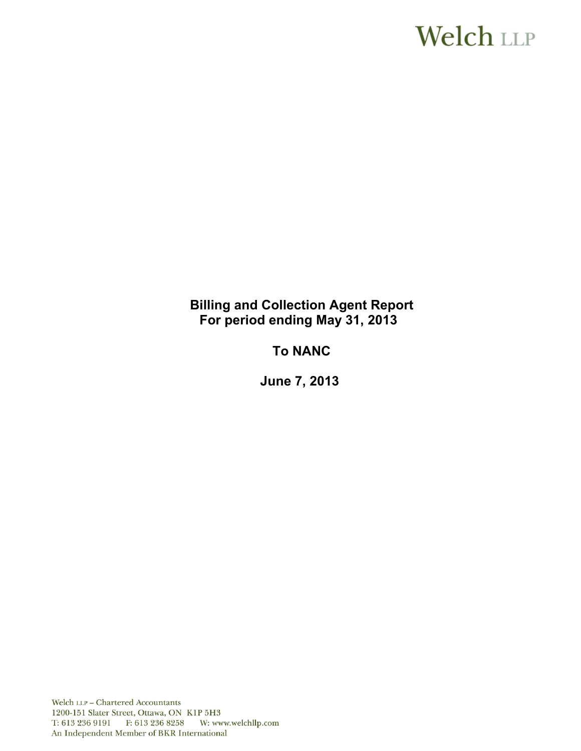# **Welch LLP**

# **Billing and Collection Agent Report For period ending May 31, 2013**

# **To NANC**

 **June 7, 2013** 

Welch LLP - Chartered Accountants 1200-151 Slater Street, Ottawa, ON K1P 5H3 T: 613 236 9191 F: 613 236 8258 W: www.welchllp.com An Independent Member of BKR International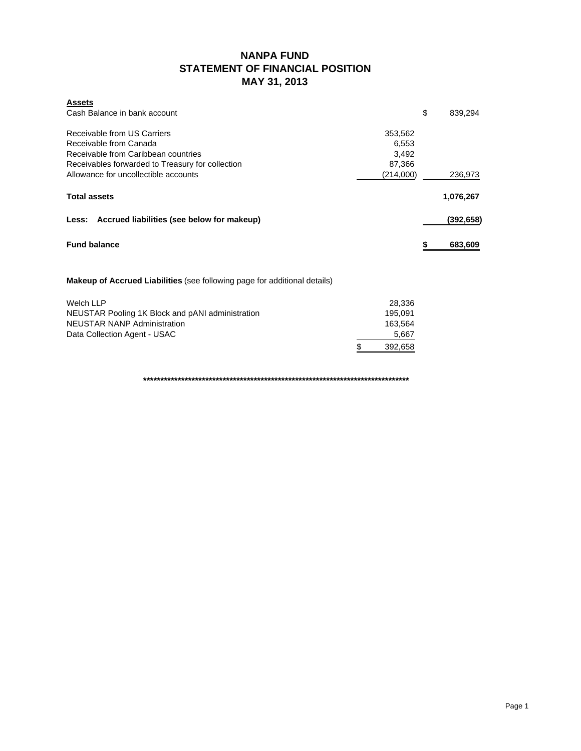# **NANPA FUND STATEMENT OF FINANCIAL POSITION MAY 31, 2013**

| <b>Assets</b>                                                                    |                     |               |
|----------------------------------------------------------------------------------|---------------------|---------------|
| Cash Balance in bank account                                                     |                     | \$<br>839,294 |
| Receivable from US Carriers                                                      | 353,562             |               |
| Receivable from Canada                                                           | 6,553               |               |
| Receivable from Caribbean countries                                              | 3,492               |               |
| Receivables forwarded to Treasury for collection                                 | 87,366              |               |
| Allowance for uncollectible accounts                                             | (214,000)           | 236,973       |
| <b>Total assets</b>                                                              |                     | 1,076,267     |
| Less: Accrued liabilities (see below for makeup)                                 |                     | (392,658)     |
| <b>Fund balance</b>                                                              |                     | \$<br>683,609 |
| <b>Makeup of Accrued Liabilities</b> (see following page for additional details) |                     |               |
| <b>Welch LLP</b>                                                                 | 28,336              |               |
| NIFLICTAD Dealing 41/ Dleak and nANL administration                              | $A \cap E$ $\cap A$ |               |

|                                                  | ------  |
|--------------------------------------------------|---------|
| NEUSTAR Pooling 1K Block and pANI administration | 195.091 |
| <b>NEUSTAR NANP Administration</b>               | 163.564 |
| Data Collection Agent - USAC                     | 5.667   |
|                                                  | 392.658 |

**\*\*\*\*\*\*\*\*\*\*\*\*\*\*\*\*\*\*\*\*\*\*\*\*\*\*\*\*\*\*\*\*\*\*\*\*\*\*\*\*\*\*\*\*\*\*\*\*\*\*\*\*\*\*\*\*\*\*\*\*\*\*\*\*\*\*\*\*\*\*\*\*\*\*\*\*\***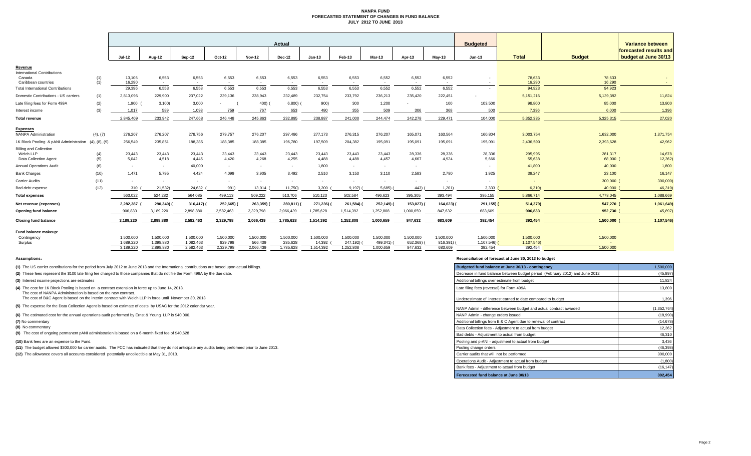### **NANPA FUND FORECASTED STATEMENT OF CHANGES IN FUND BALANCE JULY 2012 TO JUNE 2013**

|                                                                     |               | Actual                 |                        |                        |                      |                      |                      |                     |                       |                       |                     |                     |                       |                       |                     |                                            |
|---------------------------------------------------------------------|---------------|------------------------|------------------------|------------------------|----------------------|----------------------|----------------------|---------------------|-----------------------|-----------------------|---------------------|---------------------|-----------------------|-----------------------|---------------------|--------------------------------------------|
|                                                                     |               |                        |                        |                        |                      |                      |                      |                     |                       |                       |                     |                     | <b>Budgeted</b>       |                       |                     | Variance between<br>forecasted results and |
|                                                                     |               | <b>Jul-12</b>          | Aug-12                 | <b>Sep-12</b>          | Oct-12               | <b>Nov-12</b>        | Dec-12               | $Jan-13$            | Feb-13                | Mar-13                | Apr-13              | <b>May-13</b>       | <b>Jun-13</b>         | <b>Total</b>          | <b>Budget</b>       | budget at June 30/13                       |
| Revenue                                                             |               |                        |                        |                        |                      |                      |                      |                     |                       |                       |                     |                     |                       |                       |                     |                                            |
| <b>International Contributions</b><br>Canada<br>Caribbean countries | (1)<br>(1)    | 13,106<br>16.290       | 6,553<br>$\sim$        | 6,553<br>$\sim$        | 6,553<br>$\sim$      | 6,553<br>$\sim$      | 6,553<br>$\sim$      | 6,553<br>$\sim$     | 6,553<br>$\sim$       | 6,552<br>$\sim$       | 6,552<br>$\sim$     | 6,552<br>$\sim$     |                       | 78,633<br>16,290      | 78,633<br>16,290    | $\sim$                                     |
| <b>Total International Contributions</b>                            |               | 29,396                 | 6,553                  | 6,553                  | 6,553                | 6,553                | 6,553                | 6,553               | 6,553                 | 6,552                 | 6,552               | 6,552               |                       | 94,923                | 94,923              |                                            |
| Domestic Contributions - US carriers                                | (1)           | 2,813,096              | 229,900                | 237,022                | 239,136              | 238,943              | 232,489              | 232,754             | 233,792               | 236,213               | 235,420             | 222,451             |                       | 5,151,216             | 5,139,392           | 11,824                                     |
| Late filing fees for Form 499A                                      | (2)           | 1,900                  | 3,100                  | 3,000                  |                      | 400)                 | 6,800                | 900)                | 300                   | 1,200                 |                     | 100                 | 103,500               | 98,800                | 85,000              | 13,800                                     |
| Interest income                                                     | (3)           | 1.017                  | 589                    | 1,093                  | 759                  | 767                  | 653                  | 480                 | 355                   | 509                   | 306                 | 368                 | 500                   | 7.396                 | 6,000               | 1,396                                      |
| <b>Total revenue</b>                                                |               | 2,845,409              | 233,942                | 247,668                | 246,448              | 245,863              | 232,895              | 238,887             | 241,000               | 244,474               | 242,278             | 229,471             | 104,000               | 5,352,335             | 5,325,315           | 27,020                                     |
|                                                                     |               |                        |                        |                        |                      |                      |                      |                     |                       |                       |                     |                     |                       |                       |                     |                                            |
| <b>Expenses</b><br><b>NANPA Administration</b>                      | (4), (7)      | 276,207                | 276,207                | 278,756                | 279,757              | 276,207              | 297,486              | 277,173             | 276,315               | 276,207               | 165,071             | 163,564             | 160,804               | 3,003,754             | 1,632,000           | 1,371,754                                  |
| 1K Block Pooling & pANI Administration                              | (4), (8), (9) | 256,549                | 235,851                | 188,385                | 188,385              | 188,385              | 196,780              | 197,509             | 204,382               | 195,091               | 195,091             | 195,091             | 195,091               | 2,436,590             | 2,393,628           | 42,962                                     |
| <b>Billing and Collection</b>                                       |               |                        |                        |                        |                      |                      |                      |                     |                       |                       |                     |                     |                       |                       |                     |                                            |
| Welch LLP<br>Data Collection Agent                                  | (4)           | 23,443<br>5,042        | 23,443<br>4,518        | 23,443<br>4,445        | 23,443<br>4,420      | 23,443<br>4,268      | 23,443<br>4,255      | 23,443<br>4,488     | 23,443<br>4,488       | 23,443<br>4,457       | 28,336<br>4,667     | 28,336<br>4,924     | 28,336<br>5,666       | 295,995<br>55,638     | 281,317<br>68,000 ( | 14,678<br>12,362)                          |
| <b>Annual Operations Audit</b>                                      | (5)<br>(6)    | $\sim$                 | $\sim$                 | 40,000                 | $\sim$               | $\sim$               | $\sim$               | 1,800               | $\sim$                | $\sim$                | $\sim$              |                     |                       | 41,800                | 40,000              | 1,800                                      |
| <b>Bank Charges</b>                                                 | (10)          | 1.471                  | 5,795                  | 4,424                  | 4,099                | 3,905                | 3,492                | 2,510               | 3,153                 | 3,110                 | 2,583               | 2.780               | 1,925                 | 39,247                | 23,100              | 16,147                                     |
| <b>Carrier Audits</b>                                               | (11)          | $\sim$                 |                        | $\sim$                 | $\sim$               | $\sim$               | $\sim$               | $\sim$              | $\sim$                | ۰.                    | $\sim$              | $\sim$              |                       |                       | 300,000 (           | 300,000                                    |
| Bad debt expense                                                    | (12)          | 310                    | 21,532)                | 24,632                 | 991)                 | 13,014               | 11,750)              | 3,200               | 9,197                 | 5,685)                | 443)                | 1,201               | 3,333                 | 6,310                 | 40,000              | 46,310                                     |
| <b>Total expenses</b>                                               |               | 563,022                | 524,282                | 564,085                | 499,113              | 509,222              | 513,706              | 510,123             | 502,584               | 496,623               | 395,305             | 393,494             | 395,155               | 5,866,714             | 4,778,045           | 1,088,669                                  |
| Net revenue (expenses)                                              |               | 2,282,387              | 290,340)               | 316,417)               | 252,665)             | 263,359)             | 280,811)             | 271,236)            | 261,584)              | 252,149)              | 153,027)            | 164,023)            | 291,155) (            | 514,379)              | 547,270 (           | 1,061,649)                                 |
| <b>Opening fund balance</b>                                         |               | 906,833                | 3,189,220              | 2,898,880              | 2,582,463            | 2,329,798            | 2,066,439            | 1,785,628           | 1,514,392             | 1,252,808             | 1,000,659           | 847,632             | 683,609               | 906,833               | 952,730             | 45,897                                     |
|                                                                     |               |                        |                        |                        |                      |                      |                      |                     |                       |                       |                     |                     |                       |                       |                     |                                            |
| <b>Closing fund balance</b>                                         |               | 3,189,220              | 2,898,880              | 2,582,463              | 2,329,798            | 2,066,439            | 1,785,628            | 1,514,392           | 1,252,808             | 1,000,659             | 847,632             | 683,609             | 392,454               | 392,454               | 1,500,000           | 1,107,546                                  |
| Fund balance makeup:                                                |               |                        |                        |                        |                      |                      |                      |                     |                       |                       |                     |                     |                       |                       |                     |                                            |
| Contingency                                                         |               | 1.500.000              | 1,500,000              | 1,500,000              | 1,500,000            | 1,500,000            | 1,500,000            | 1,500,000           | 1.500.000             | 1,500,000             | 1,500,000           | 1,500,000           | 1,500,000             | 1,500,000             | 1,500,000           |                                            |
| Surplus                                                             |               | 1,689,220<br>3.189.220 | 1.398.880<br>2.898.880 | 1,082,463<br>2.582.463 | 829,798<br>2,329,798 | 566,439<br>2.066.439 | 285,628<br>1.785.628 | 14.392<br>1.514.392 | 247,192)<br>1,252,808 | 499,341)<br>1.000.659 | 652,368)<br>847.632 | 816.391)<br>683.609 | 1,107,546)<br>392.454 | 1,107,546)<br>392,454 | $\sim$<br>1.500.000 |                                            |
|                                                                     |               |                        |                        |                        |                      |                      |                      |                     |                       |                       |                     |                     |                       |                       |                     |                                            |

**(8)** No commentary

#### **Assumptions: Reconciliation of forecast at June 30, 2013 to budget**

| (1) The US carrier contributions for the period from July 2012 to June 2013 and the International contributions are based upon actual billings.                    | Budgeted fund balance at June 30/13 - contingency                            | 1,500,000   |
|--------------------------------------------------------------------------------------------------------------------------------------------------------------------|------------------------------------------------------------------------------|-------------|
| (2) These fees represent the \$100 late filing fee charged to those companies that do not file the Form 499A by the due date.                                      | Decrease in fund balance between budget period (February 2012) and June 2012 | (45, 897)   |
| (3) Interest income projections are estimates                                                                                                                      | Additional billings over estimate from budget                                | 11,824      |
| (4) The cost for 1K Block Pooling is based on a contract extension in force up to June 14, 2013.<br>The cost of NANPA Administration is based on the new contract. | Late filing fees (reversal) for Form 499A                                    | 13,800      |
| The cost of B&C Agent is based on the interim contract with Welch LLP in force until November 30, 2013                                                             | Underestimate of interest earned to date compared to budget                  | 1,396       |
| (5) The expense for the Data Collection Agent is based on estimate of costs by USAC for the 2012 calendar year.                                                    | NANP Admin - difference between budget and actual contract awarded           | (1,352,764) |
| (6) The estimated cost for the annual operations audit performed by Ernst & Young LLP is \$40,000.                                                                 | NANP Admin - change orders issued                                            | (18,990)    |
| (7) No commentary                                                                                                                                                  | Additional billings from B & C Agent due to renewal of contract              | (14, 678)   |
| (8) No commentary                                                                                                                                                  | Data Collection fees - Adjustment to actual from budget                      | 12,362      |
| (9) The cost of ongoing permanent pANI administration is based on a 6-month fixed fee of \$40,628                                                                  | Bad debts - Adiustment to actual from budget                                 | 46,310      |
| (10) Bank fees are an expense to the Fund.                                                                                                                         | Pooling and p-ANI - adjustment to actual from budget                         | 3,436       |
| (11) The budget allowed \$300,000 for carrier audits. The FCC has indicated that they do not anticipate any audits being performed prior to June 2013.             | Pooling change orders                                                        | (46, 398)   |
| (12) The allowance covers all accounts considered potentially uncollectible at May 31, 2013.                                                                       | Carrier audits that will not be performed                                    | 300,000     |
|                                                                                                                                                                    | Operations Audit - Adiustment to actual from budget                          | (1,800)     |
|                                                                                                                                                                    | Bank fees - Adjustment to actual from budget                                 | (16, 147)   |
|                                                                                                                                                                    | Forecasted fund balance at June 30/13                                        | 392,454     |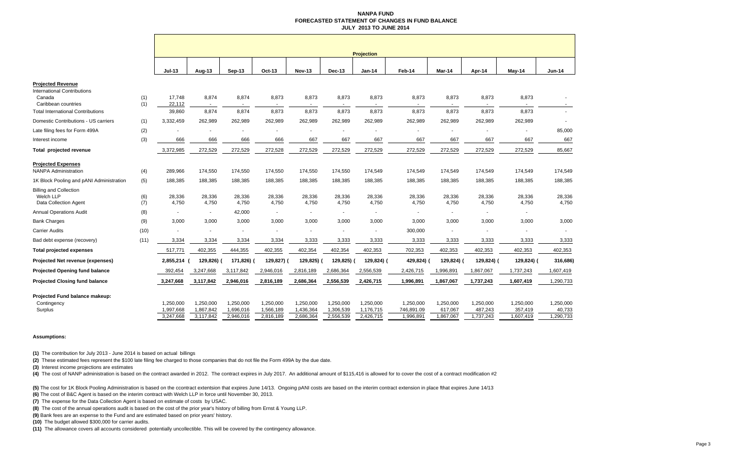### **NANPA FUND FORECASTED STATEMENT OF CHANGES IN FUND BALANCE JULY 2013 TO JUNE 2014**

|                                          |            | <b>Projection</b>      |                          |                        |                        |                        |                        |                        |                                   |                      |                      |                      |                     |
|------------------------------------------|------------|------------------------|--------------------------|------------------------|------------------------|------------------------|------------------------|------------------------|-----------------------------------|----------------------|----------------------|----------------------|---------------------|
|                                          |            | $Jul-13$               | Aug-13                   | Sep-13                 | Oct-13                 | <b>Nov-13</b>          | Dec-13                 | <b>Jan-14</b>          | Feb-14                            | Mar-14               | Apr-14               | $May-14$             | <b>Jun-14</b>       |
| <b>Projected Revenue</b>                 |            |                        |                          |                        |                        |                        |                        |                        |                                   |                      |                      |                      |                     |
| International Contributions              |            |                        |                          |                        |                        |                        |                        |                        |                                   |                      |                      |                      |                     |
| Canada<br>Caribbean countries            | (1)<br>(1) | 17,748<br>22,112       | 8,874                    | 8,874                  | 8,873                  | 8,873                  | 8,873                  | 8,873                  | 8,873<br>$\overline{\phantom{a}}$ | 8,873                | 8,873                | 8,873                |                     |
| <b>Total International Contributions</b> |            | 39,860                 | 8,874                    | 8,874                  | 8,873                  | 8,873                  | 8,873                  | 8,873                  | 8,873                             | 8,873                | 8,873                | 8,873                |                     |
| Domestic Contributions - US carriers     | (1)        | 3,332,459              | 262,989                  | 262,989                | 262,989                | 262,989                | 262,989                | 262,989                | 262,989                           | 262,989              | 262,989              | 262,989              |                     |
| Late filing fees for Form 499A           | (2)        |                        |                          |                        | ٠                      |                        |                        |                        |                                   |                      |                      |                      | 85,000              |
| Interest income                          | (3)        | 666                    | 666                      | 666                    | 666                    | 667                    | 667                    | 667                    | 667                               | 667                  | 667                  | 667                  | 667                 |
| Total projected revenue                  |            | 3,372,985              | 272,529                  | 272,529                | 272,528                | 272,529                | 272,529                | 272,529                | 272,529                           | 272,529              | 272,529              | 272,529              | 85,667              |
| <b>Projected Expenses</b>                |            |                        |                          |                        |                        |                        |                        |                        |                                   |                      |                      |                      |                     |
| <b>NANPA Administration</b>              | (4)        | 289,966                | 174,550                  | 174,550                | 174,550                | 174,550                | 174,550                | 174,549                | 174,549                           | 174,549              | 174,549              | 174,549              | 174,549             |
| 1K Block Pooling and pANI Administration | (5)        | 188,385                | 188,385                  | 188,385                | 188,385                | 188,385                | 188,385                | 188,385                | 188,385                           | 188,385              | 188,385              | 188,385              | 188,385             |
| <b>Billing and Collection</b>            |            |                        |                          |                        |                        |                        |                        |                        |                                   |                      |                      |                      |                     |
| Welch LLP<br>Data Collection Agent       | (6)<br>(7) | 28,336<br>4,750        | 28,336<br>4,750          | 28,336<br>4,750        | 28,336<br>4,750        | 28,336<br>4,750        | 28,336<br>4,750        | 28,336<br>4,750        | 28,336<br>4,750                   | 28,336<br>4,750      | 28,336<br>4,750      | 28,336<br>4,750      | 28,336<br>4,750     |
| <b>Annual Operations Audit</b>           | (8)        |                        | $\overline{\phantom{a}}$ | 42,000                 |                        |                        |                        | ÷.                     |                                   |                      |                      |                      |                     |
| <b>Bank Charges</b>                      | (9)        | 3,000                  | 3,000                    | 3,000                  | 3,000                  | 3,000                  | 3,000                  | 3,000                  | 3,000                             | 3,000                | 3,000                | 3,000                | 3,000               |
| Carrier Audits                           | (10)       |                        |                          |                        |                        |                        |                        | ٠                      | 300,000                           |                      |                      |                      |                     |
| Bad debt expense (recovery)              | (11)       | 3,334                  | 3,334                    | 3,334                  | 3,334                  | 3,333                  | 3,333                  | 3,333                  | 3,333                             | 3,333                | 3,333                | 3,333                | 3,333               |
| <b>Total projected expenses</b>          |            | 517,771                | 402,355                  | 444,355                | 402,355                | 402,354                | 402,354                | 402,353                | 702,353                           | 402,353              | 402,353              | 402,353              | 402,353             |
|                                          |            |                        |                          |                        |                        |                        |                        |                        |                                   |                      |                      |                      |                     |
| Projected Net revenue (expenses)         |            | 2,855,214              | 129,826) (               | 171,826) (             | 129,827) (             | 129,825)               | 129,825)               | 129,824) (             | 429,824)                          | 129,824) (           | 129,824) (           | 129,824) (           | 316,686)            |
| <b>Projected Opening fund balance</b>    |            | 392,454                | 3,247,668                | 3,117,842              | 2,946,016              | 2,816,189              | 2,686,364              | 2,556,539              | 2,426,715                         | 1,996,891            | 1,867,067            | 1,737,243            | 1,607,419           |
| <b>Projected Closing fund balance</b>    |            | 3,247,668              | 3,117,842                | 2,946,016              | 2,816,189              | 2,686,364              | 2,556,539              | 2,426,715              | 1,996,891                         | 1,867,067            | 1,737,243            | 1,607,419            | 1,290,733           |
| Projected Fund balance makeup:           |            |                        |                          |                        |                        |                        |                        |                        |                                   |                      |                      |                      |                     |
| Contingency                              |            | 1,250,000              | 1,250,000                | 1,250,000              | 1,250,000              | 1,250,000              | 1,250,000              | 1,250,000              | 1,250,000                         | 1,250,000            | 1,250,000            | 1,250,000            | 1,250,000           |
| Surplus                                  |            | 1,997,668<br>3,247,668 | 1,867,842<br>3,117,842   | 1,696,016<br>2,946,016 | 1,566,189<br>2,816,189 | 1,436,364<br>2,686,364 | 1,306,539<br>2,556,539 | 1,176,715<br>2,426,715 | 746,891.09<br>1,996,891           | 617,067<br>1,867,067 | 487,243<br>1,737,243 | 357,419<br>1,607,419 | 40,733<br>1,290,733 |
|                                          |            |                        |                          |                        |                        |                        |                        |                        |                                   |                      |                      |                      |                     |

#### **Assumptions:**

**(1)** The contribution for July 2013 - June 2014 is based on actual billings

**(2)** These estimated fees represent the \$100 late filing fee charged to those companies that do not file the Form 499A by the due date.

**(3)** Interest income projections are estimates

(4) The cost of NANP administration is based on the contract awarded in 2012. The contract expires in July 2017. An additional amount of \$115,416 is allowed for to cover the cost of a contract modification #2

**(5)** The cost for 1K Block Pooling Administration is based on the ccontract extentsion that expires June 14/13. Ongoing pANI costs are based on the interim contract extension in place fthat expires June 14/13

**(6)** The cost of B&C Agent is based on the interim contract with Welch LLP in force until November 30, 2013.

**(7)** The expense for the Data Collection Agent is based on estimate of costs by USAC.

**(8)** The cost of the annual operations audit is based on the cost of the prior year's history of billing from Ernst & Young LLP.

**(9)** Bank fees are an expense to the Fund and are estimated based on prior years' history.

**(10)** The budget allowed \$300,000 for carrier audits.

**(11)** The allowance covers all accounts considered potentially uncollectible. This will be covered by the contingency allowance.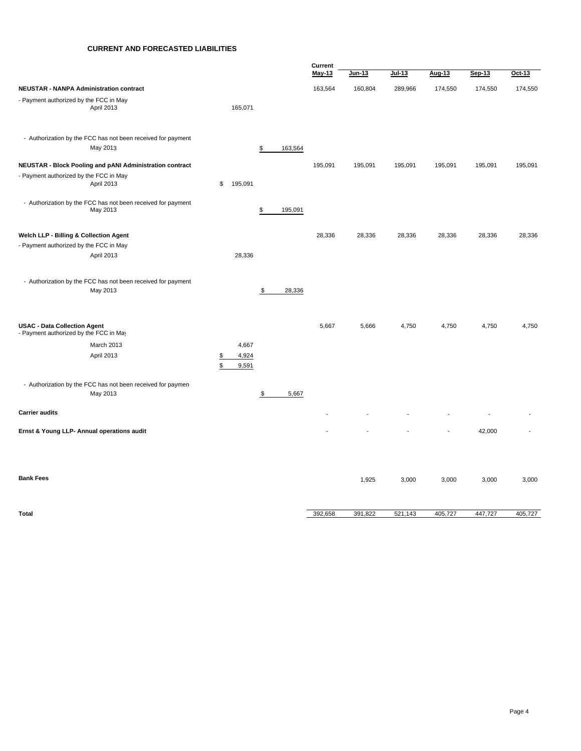# **CURRENT AND FORECASTED LIABILITIES**

|                                                                               |          |                |                        | Current       |         |          |                |         |         |
|-------------------------------------------------------------------------------|----------|----------------|------------------------|---------------|---------|----------|----------------|---------|---------|
|                                                                               |          |                |                        | <b>May-13</b> | Jun-13  | $Jul-13$ | Aug-13         | Sep-13  | Oct-13  |
| <b>NEUSTAR - NANPA Administration contract</b>                                |          |                |                        | 163,564       | 160,804 | 289,966  | 174,550        | 174,550 | 174,550 |
| - Payment authorized by the FCC in May<br>April 2013                          |          | 165,071        |                        |               |         |          |                |         |         |
| - Authorization by the FCC has not been received for payment<br>May 2013      |          |                | 163,564<br>\$          |               |         |          |                |         |         |
| <b>NEUSTAR - Block Pooling and pANI Administration contract</b>               |          |                |                        | 195,091       | 195,091 | 195,091  | 195,091        | 195,091 | 195,091 |
| - Payment authorized by the FCC in May<br>April 2013                          | \$       | 195,091        |                        |               |         |          |                |         |         |
| - Authorization by the FCC has not been received for payment<br>May 2013      |          |                | 195,091<br>\$          |               |         |          |                |         |         |
| Welch LLP - Billing & Collection Agent                                        |          |                |                        | 28,336        | 28,336  | 28,336   | 28,336         | 28,336  | 28,336  |
| - Payment authorized by the FCC in May                                        |          |                |                        |               |         |          |                |         |         |
| April 2013                                                                    |          | 28,336         |                        |               |         |          |                |         |         |
| - Authorization by the FCC has not been received for payment<br>May 2013      |          |                | \$<br>28,336           |               |         |          |                |         |         |
| <b>USAC - Data Collection Agent</b><br>- Payment authorized by the FCC in May |          |                |                        | 5,667         | 5,666   | 4,750    | 4,750          | 4,750   | 4,750   |
| March 2013                                                                    |          | 4,667          |                        |               |         |          |                |         |         |
| April 2013                                                                    | \$<br>\$ | 4,924<br>9,591 |                        |               |         |          |                |         |         |
| - Authorization by the FCC has not been received for paymen<br>May 2013       |          |                | $\frac{1}{2}$<br>5,667 |               |         |          |                |         |         |
| <b>Carrier audits</b>                                                         |          |                |                        |               |         |          |                |         |         |
| Ernst & Young LLP- Annual operations audit                                    |          |                |                        |               |         |          | $\overline{a}$ | 42,000  |         |
|                                                                               |          |                |                        |               |         |          |                |         |         |
| <b>Bank Fees</b>                                                              |          |                |                        |               | 1,925   | 3,000    | 3,000          | 3,000   | 3,000   |
|                                                                               |          |                |                        |               |         |          |                |         |         |
| <b>Total</b>                                                                  |          |                |                        | 392,658       | 391,822 | 521,143  | 405,727        | 447,727 | 405,727 |